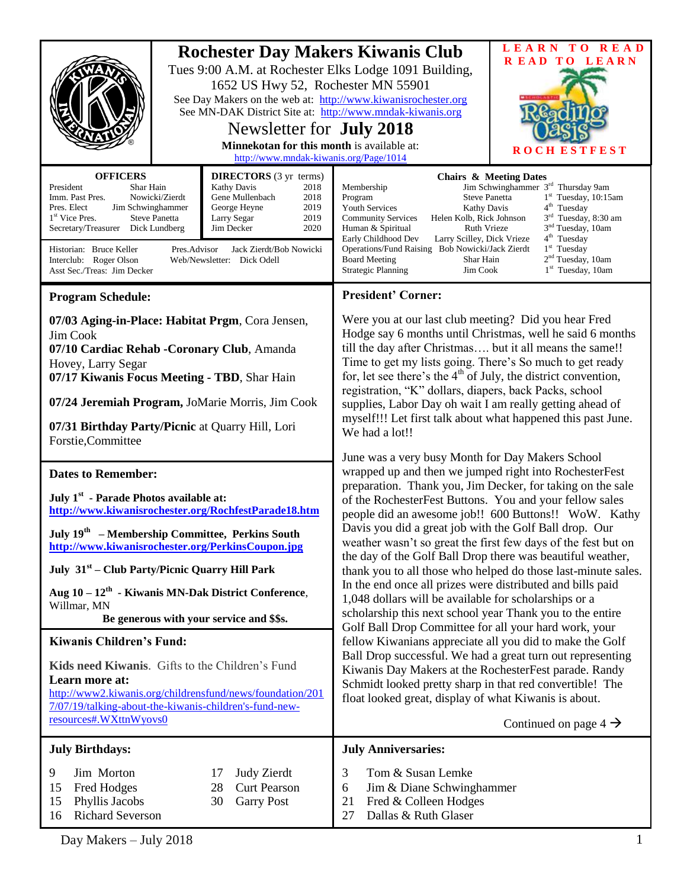| <b>OFFICERS</b><br>President<br>Shar Hain<br>Imm. Past Pres.<br>Pres. Elect<br>Jim Schwinghammer<br>1 <sup>st</sup> Vice Pres.<br>Secretary/Treasurer Dick Lundberg<br>Historian: Bruce Keller<br>Interclub: Roger Olson<br>Asst Sec./Treas: Jim Decker                                                                                                                                                                                                   | <b>Rochester Day Makers Kiwanis Club</b><br>Tues 9:00 A.M. at Rochester Elks Lodge 1091 Building,<br>1652 US Hwy 52, Rochester MN 55901<br>See Day Makers on the web at: http://www.kiwanisrochester.org<br>See MN-DAK District Site at: http://www.mndak-kiwanis.org<br>Newsletter for <b>July 2018</b><br>Minnekotan for this month is available at:<br>http://www.mndak-kiwanis.org/Page/1014<br><b>DIRECTORS</b> (3 yr terms)<br><b>Kathy Davis</b><br>2018<br>Nowicki/Zierdt<br>Gene Mullenbach<br>2018<br>2019<br>George Heyne<br>2019<br><b>Steve Panetta</b><br>Larry Segar<br>2020<br>Jim Decker<br>Jack Zierdt/Bob Nowicki<br>Pres.Advisor<br>Web/Newsletter: Dick Odell |                                                                                  | Membership<br><b>Steve Panetta</b><br>Program<br><b>Youth Services</b><br>Kathy Davis<br><b>Community Services</b><br>Helen Kolb, Rick Johnson<br>Ruth Vrieze<br>Human & Spiritual<br>Early Childhood Dev<br>Larry Scilley, Dick Vrieze<br>Operations/Fund Raising Bob Nowicki/Jack Zierdt<br><b>Board Meeting</b><br>Shar Hain<br><b>Strategic Planning</b><br>Jim Cook                                                                                                                                                                                                                                                                                                                                                                                                                                                                                                                                                                                                                                                                                                                                                                                                                                                                                                                                                                                                                                                                                                                                                                                                                                                                                                 | LEARN TO READ<br>READ TO LEARN<br><b>STFEST</b><br>R O<br><b>Chairs &amp; Meeting Dates</b><br>Jim Schwinghammer 3 <sup>rd</sup> Thursday 9am<br>$1st$ Tuesday, 10:15am<br>4 <sup>th</sup> Tuesday<br>3 <sup>rd</sup> Tuesday, 8:30 am<br>3 <sup>nd</sup> Tuesday, 10am<br>4 <sup>th</sup> Tuesday<br>$1st$ Tuesday<br>2 <sup>nd</sup> Tuesday, 10am<br>1 <sup>st</sup> Tuesday, 10am |
|-----------------------------------------------------------------------------------------------------------------------------------------------------------------------------------------------------------------------------------------------------------------------------------------------------------------------------------------------------------------------------------------------------------------------------------------------------------|------------------------------------------------------------------------------------------------------------------------------------------------------------------------------------------------------------------------------------------------------------------------------------------------------------------------------------------------------------------------------------------------------------------------------------------------------------------------------------------------------------------------------------------------------------------------------------------------------------------------------------------------------------------------------------|----------------------------------------------------------------------------------|--------------------------------------------------------------------------------------------------------------------------------------------------------------------------------------------------------------------------------------------------------------------------------------------------------------------------------------------------------------------------------------------------------------------------------------------------------------------------------------------------------------------------------------------------------------------------------------------------------------------------------------------------------------------------------------------------------------------------------------------------------------------------------------------------------------------------------------------------------------------------------------------------------------------------------------------------------------------------------------------------------------------------------------------------------------------------------------------------------------------------------------------------------------------------------------------------------------------------------------------------------------------------------------------------------------------------------------------------------------------------------------------------------------------------------------------------------------------------------------------------------------------------------------------------------------------------------------------------------------------------------------------------------------------------|---------------------------------------------------------------------------------------------------------------------------------------------------------------------------------------------------------------------------------------------------------------------------------------------------------------------------------------------------------------------------------------|
| <b>Program Schedule:</b>                                                                                                                                                                                                                                                                                                                                                                                                                                  |                                                                                                                                                                                                                                                                                                                                                                                                                                                                                                                                                                                                                                                                                    |                                                                                  | <b>President' Corner:</b>                                                                                                                                                                                                                                                                                                                                                                                                                                                                                                                                                                                                                                                                                                                                                                                                                                                                                                                                                                                                                                                                                                                                                                                                                                                                                                                                                                                                                                                                                                                                                                                                                                                |                                                                                                                                                                                                                                                                                                                                                                                       |
| 07/03 Aging-in-Place: Habitat Prgm, Cora Jensen,<br>Jim Cook<br>07/10 Cardiac Rehab - Coronary Club, Amanda<br>Hovey, Larry Segar<br>07/17 Kiwanis Focus Meeting - TBD, Shar Hain<br>07/24 Jeremiah Program, JoMarie Morris, Jim Cook<br>07/31 Birthday Party/Picnic at Quarry Hill, Lori<br>Forstie, Committee                                                                                                                                           |                                                                                                                                                                                                                                                                                                                                                                                                                                                                                                                                                                                                                                                                                    |                                                                                  | Were you at our last club meeting? Did you hear Fred<br>Hodge say 6 months until Christmas, well he said 6 months<br>till the day after Christmas but it all means the same!!<br>Time to get my lists going. There's So much to get ready<br>for, let see there's the $4th$ of July, the district convention,<br>registration, "K" dollars, diapers, back Packs, school<br>supplies, Labor Day oh wait I am really getting ahead of<br>myself!!! Let first talk about what happened this past June.<br>We had a lot!!<br>June was a very busy Month for Day Makers School<br>wrapped up and then we jumped right into RochesterFest<br>preparation. Thank you, Jim Decker, for taking on the sale<br>of the RochesterFest Buttons. You and your fellow sales<br>people did an awesome job!! 600 Buttons!! WoW. Kathy<br>Davis you did a great job with the Golf Ball drop. Our<br>weather wasn't so great the first few days of the fest but on<br>the day of the Golf Ball Drop there was beautiful weather,<br>thank you to all those who helped do those last-minute sales.<br>In the end once all prizes were distributed and bills paid<br>1,048 dollars will be available for scholarships or a<br>scholarship this next school year Thank you to the entire<br>Golf Ball Drop Committee for all your hard work, your<br>fellow Kiwanians appreciate all you did to make the Golf<br>Ball Drop successful. We had a great turn out representing<br>Kiwanis Day Makers at the RochesterFest parade. Randy<br>Schmidt looked pretty sharp in that red convertible! The<br>float looked great, display of what Kiwanis is about.<br>Continued on page $4 \rightarrow$ |                                                                                                                                                                                                                                                                                                                                                                                       |
| <b>Dates to Remember:</b><br>July 1 <sup>st</sup> - Parade Photos available at:<br>http://www.kiwanisrochester.org/RochfestParade18.htm<br>July 19 <sup>th</sup> – Membership Committee, Perkins South<br>http://www.kiwanisrochester.org/PerkinsCoupon.jpg<br>July 31 <sup>st</sup> – Club Party/Picnic Quarry Hill Park<br>Aug $10 - 12$ <sup>th</sup> - Kiwanis MN-Dak District Conference,<br>Willmar, MN<br>Be generous with your service and \$\$s. |                                                                                                                                                                                                                                                                                                                                                                                                                                                                                                                                                                                                                                                                                    |                                                                                  |                                                                                                                                                                                                                                                                                                                                                                                                                                                                                                                                                                                                                                                                                                                                                                                                                                                                                                                                                                                                                                                                                                                                                                                                                                                                                                                                                                                                                                                                                                                                                                                                                                                                          |                                                                                                                                                                                                                                                                                                                                                                                       |
| <b>Kiwanis Children's Fund:</b>                                                                                                                                                                                                                                                                                                                                                                                                                           |                                                                                                                                                                                                                                                                                                                                                                                                                                                                                                                                                                                                                                                                                    |                                                                                  |                                                                                                                                                                                                                                                                                                                                                                                                                                                                                                                                                                                                                                                                                                                                                                                                                                                                                                                                                                                                                                                                                                                                                                                                                                                                                                                                                                                                                                                                                                                                                                                                                                                                          |                                                                                                                                                                                                                                                                                                                                                                                       |
| Kids need Kiwanis. Gifts to the Children's Fund<br>Learn more at:<br>http://www2.kiwanis.org/childrensfund/news/foundation/201<br>7/07/19/talking-about-the-kiwanis-children's-fund-new-<br>resources#.WXttnWyovs0                                                                                                                                                                                                                                        |                                                                                                                                                                                                                                                                                                                                                                                                                                                                                                                                                                                                                                                                                    |                                                                                  |                                                                                                                                                                                                                                                                                                                                                                                                                                                                                                                                                                                                                                                                                                                                                                                                                                                                                                                                                                                                                                                                                                                                                                                                                                                                                                                                                                                                                                                                                                                                                                                                                                                                          |                                                                                                                                                                                                                                                                                                                                                                                       |
| <b>July Birthdays:</b>                                                                                                                                                                                                                                                                                                                                                                                                                                    |                                                                                                                                                                                                                                                                                                                                                                                                                                                                                                                                                                                                                                                                                    |                                                                                  | <b>July Anniversaries:</b>                                                                                                                                                                                                                                                                                                                                                                                                                                                                                                                                                                                                                                                                                                                                                                                                                                                                                                                                                                                                                                                                                                                                                                                                                                                                                                                                                                                                                                                                                                                                                                                                                                               |                                                                                                                                                                                                                                                                                                                                                                                       |
| Jim Morton<br>9<br>Fred Hodges<br>15<br>Phyllis Jacobs<br>15<br><b>Richard Severson</b><br>16                                                                                                                                                                                                                                                                                                                                                             |                                                                                                                                                                                                                                                                                                                                                                                                                                                                                                                                                                                                                                                                                    | <b>Judy Zierdt</b><br>17<br><b>Curt Pearson</b><br>28<br><b>Garry Post</b><br>30 | Tom & Susan Lemke<br>3<br>Jim & Diane Schwinghammer<br>6<br>Fred & Colleen Hodges<br>21<br>Dallas & Ruth Glaser<br>27                                                                                                                                                                                                                                                                                                                                                                                                                                                                                                                                                                                                                                                                                                                                                                                                                                                                                                                                                                                                                                                                                                                                                                                                                                                                                                                                                                                                                                                                                                                                                    |                                                                                                                                                                                                                                                                                                                                                                                       |

Day Makers – July 2018 1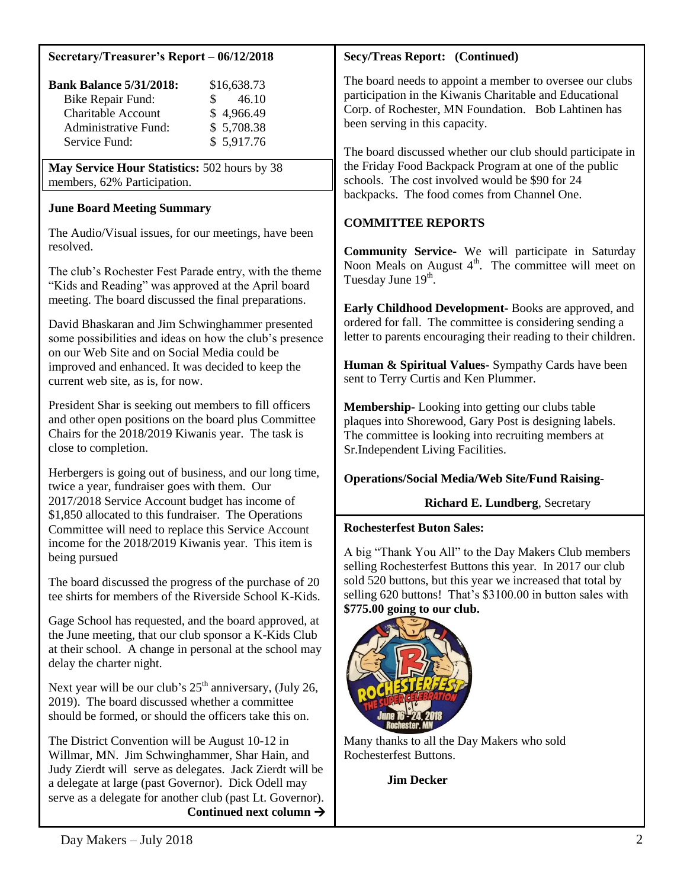# **Secretary/Treasurer's Report – 06/12/2018**

| <b>Bank Balance 5/31/2018:</b> | \$16,638.73 |
|--------------------------------|-------------|
| <b>Bike Repair Fund:</b>       | 46.10<br>S. |
| <b>Charitable Account</b>      | \$4,966.49  |
| Administrative Fund:           | \$5,708.38  |
| Service Fund:                  | \$5,917.76  |

**May Service Hour Statistics:** 502 hours by 38 members, 62% Participation.

## **June Board Meeting Summary**

The Audio/Visual issues, for our meetings, have been resolved.

The club's Rochester Fest Parade entry, with the theme "Kids and Reading" was approved at the April board meeting. The board discussed the final preparations.

David Bhaskaran and Jim Schwinghammer presented some possibilities and ideas on how the club's presence on our Web Site and on Social Media could be improved and enhanced. It was decided to keep the current web site, as is, for now.

President Shar is seeking out members to fill officers and other open positions on the board plus Committee Chairs for the 2018/2019 Kiwanis year. The task is close to completion.

Herbergers is going out of business, and our long time, twice a year, fundraiser goes with them. Our 2017/2018 Service Account budget has income of \$1,850 allocated to this fundraiser. The Operations Committee will need to replace this Service Account income for the 2018/2019 Kiwanis year. This item is being pursued

The board discussed the progress of the purchase of 20 tee shirts for members of the Riverside School K-Kids.

Gage School has requested, and the board approved, at the June meeting, that our club sponsor a K-Kids Club at their school. A change in personal at the school may delay the charter night.

Next year will be our club's  $25<sup>th</sup>$  anniversary, (July 26, 2019). The board discussed whether a committee should be formed, or should the officers take this on.

The District Convention will be August 10-12 in Willmar, MN. Jim Schwinghammer, Shar Hain, and Judy Zierdt will serve as delegates. Jack Zierdt will be a delegate at large (past Governor). Dick Odell may serve as a delegate for another club (past Lt. Governor).  **Continued next column**

# **Secy/Treas Report: (Continued)**

The board needs to appoint a member to oversee our clubs participation in the Kiwanis Charitable and Educational Corp. of Rochester, MN Foundation. Bob Lahtinen has been serving in this capacity.

The board discussed whether our club should participate in the Friday Food Backpack Program at one of the public schools. The cost involved would be \$90 for 24 backpacks. The food comes from Channel One.

# **COMMITTEE REPORTS**

**Community Service-** We will participate in Saturday Noon Meals on August  $4<sup>th</sup>$ . The committee will meet on Tuesday June 19<sup>th</sup>.

**Early Childhood Development-** Books are approved, and ordered for fall. The committee is considering sending a letter to parents encouraging their reading to their children.

**Human & Spiritual Values-** Sympathy Cards have been sent to Terry Curtis and Ken Plummer.

**Membership-** Looking into getting our clubs table plaques into Shorewood, Gary Post is designing labels. The committee is looking into recruiting members at Sr.Independent Living Facilities.

# **Operations/Social Media/Web Site/Fund Raising-**

# **Richard E. Lundberg**, Secretary

#### **Rochesterfest Buton Sales:**

A big "Thank You All" to the Day Makers Club members selling Rochesterfest Buttons this year. In 2017 our club sold 520 buttons, but this year we increased that total by selling 620 buttons! That's \$3100.00 in button sales with **\$775.00 going to our club.**



Many thanks to all the Day Makers who sold Rochesterfest Buttons.

 **Jim Decker**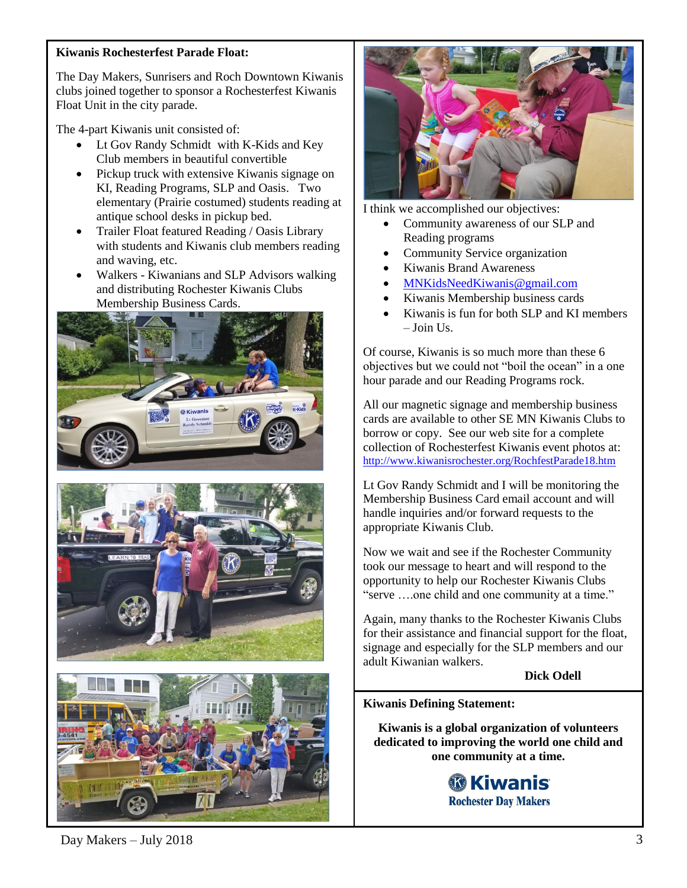## **Kiwanis Rochesterfest Parade Float:**

The Day Makers, Sunrisers and Roch Downtown Kiwanis clubs joined together to sponsor a Rochesterfest Kiwanis Float Unit in the city parade.

The 4-part Kiwanis unit consisted of:

- Lt Gov Randy Schmidt with K-Kids and Key Club members in beautiful convertible
- Pickup truck with extensive Kiwanis signage on KI, Reading Programs, SLP and Oasis. Two elementary (Prairie costumed) students reading at antique school desks in pickup bed.
- Trailer Float featured Reading / Oasis Library with students and Kiwanis club members reading and waving, etc.
- Walkers Kiwanians and SLP Advisors walking and distributing Rochester Kiwanis Clubs Membership Business Cards.









I think we accomplished our objectives:

- Community awareness of our SLP and Reading programs
- Community Service organization
- Kiwanis Brand Awareness
- [MNKidsNeedKiwanis@gmail.com](mailto:MNKidsNeedKiwanis@gmail.com)
- Kiwanis Membership business cards
- Kiwanis is fun for both SLP and KI members  $-$  Join Us.

Of course, Kiwanis is so much more than these 6 objectives but we could not "boil the ocean" in a one hour parade and our Reading Programs rock.

All our magnetic signage and membership business cards are available to other SE MN Kiwanis Clubs to borrow or copy. See our web site for a complete collection of Rochesterfest Kiwanis event photos at: <http://www.kiwanisrochester.org/RochfestParade18.htm>

Lt Gov Randy Schmidt and I will be monitoring the Membership Business Card email account and will handle inquiries and/or forward requests to the appropriate Kiwanis Club.

Now we wait and see if the Rochester Community took our message to heart and will respond to the opportunity to help our Rochester Kiwanis Clubs "serve ….one child and one community at a time."

Again, many thanks to the Rochester Kiwanis Clubs for their assistance and financial support for the float, signage and especially for the SLP members and our adult Kiwanian walkers.

**Dick Odell**

#### **Kiwanis Defining Statement:**

**Kiwanis is a global organization of volunteers dedicated to improving the world one child and one community at a time.**



 $Day \text{Makers} - July 2018$  3